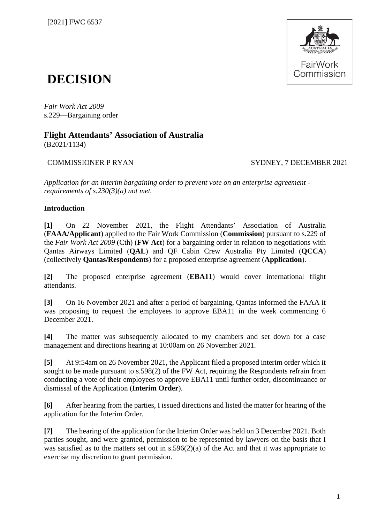

# **DECISION**

*Fair Work Act 2009*  s.229—Bargaining order

## **Flight Attendants' Association of Australia**

(B2021/1134)

#### COMMISSIONER P RYAN SYDNEY, 7 DECEMBER 2021

*Application for an interim bargaining order to prevent vote on an enterprise agreement requirements of s.230(3)(a) not met.*

#### **Introduction**

**[1]** On 22 November 2021, the Flight Attendants' Association of Australia (**FAAA/Applicant**) applied to the Fair Work Commission (**Commission**) pursuant to s.229 of the *Fair Work Act 2009* (Cth) (**FW Act**) for a bargaining order in relation to negotiations with Qantas Airways Limited (**QAL**) and QF Cabin Crew Australia Pty Limited (**QCCA**) (collectively **Qantas/Respondents**) for a proposed enterprise agreement (**Application**).

**[2]** The proposed enterprise agreement (**EBA11**) would cover international flight attendants.

**[3]** On 16 November 2021 and after a period of bargaining, Qantas informed the FAAA it was proposing to request the employees to approve EBA11 in the week commencing 6 December 2021.

**[4]** The matter was subsequently allocated to my chambers and set down for a case management and directions hearing at 10:00am on 26 November 2021.

**[5]** At 9:54am on 26 November 2021, the Applicant filed a proposed interim order which it sought to be made pursuant to s.598(2) of the FW Act, requiring the Respondents refrain from conducting a vote of their employees to approve EBA11 until further order, discontinuance or dismissal of the Application (**Interim Order**).

**[6]** After hearing from the parties, I issued directions and listed the matter for hearing of the application for the Interim Order.

**[7]** The hearing of the application for the Interim Order was held on 3 December 2021. Both parties sought, and were granted, permission to be represented by lawyers on the basis that I was satisfied as to the matters set out in s.596(2)(a) of the Act and that it was appropriate to exercise my discretion to grant permission.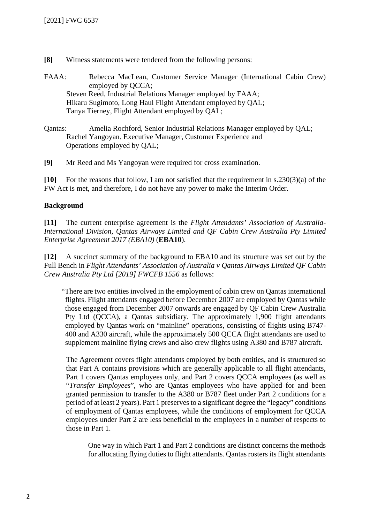- **[8]** Witness statements were tendered from the following persons:
- FAAA: Rebecca MacLean, Customer Service Manager (International Cabin Crew) employed by QCCA; Steven Reed, Industrial Relations Manager employed by FAAA; Hikaru Sugimoto, Long Haul Flight Attendant employed by QAL; Tanya Tierney, Flight Attendant employed by QAL;
- Qantas: Amelia Rochford, Senior Industrial Relations Manager employed by QAL; Rachel Yangoyan. Executive Manager, Customer Experience and Operations employed by QAL;
- **[9]** Mr Reed and Ms Yangoyan were required for cross examination.

**[10]** For the reasons that follow, I am not satisfied that the requirement in s.230(3)(a) of the FW Act is met, and therefore, I do not have any power to make the Interim Order.

#### **Background**

**[11]** The current enterprise agreement is the *Flight Attendants' Association of Australia-International Division, Qantas Airways Limited and QF Cabin Crew Australia Pty Limited Enterprise Agreement 2017 (EBA10)* (**EBA10**).

**[12]** A succinct summary of the background to EBA10 and its structure was set out by the Full Bench in *Flight Attendants' Association of Australia v Qantas Airways Limited QF Cabin Crew Australia Pty Ltd [2019] FWCFB 1556* as follows:

"There are two entities involved in the employment of cabin crew on Qantas international flights. Flight attendants engaged before December 2007 are employed by Qantas while those engaged from December 2007 onwards are engaged by QF Cabin Crew Australia Pty Ltd (QCCA), a Qantas subsidiary. The approximately 1,900 flight attendants employed by Qantas work on "mainline" operations, consisting of flights using B747- 400 and A330 aircraft, while the approximately 500 QCCA flight attendants are used to supplement mainline flying crews and also crew flights using A380 and B787 aircraft.

The Agreement covers flight attendants employed by both entities, and is structured so that Part A contains provisions which are generally applicable to all flight attendants, Part 1 covers Qantas employees only, and Part 2 covers QCCA employees (as well as "*Transfer Employees*", who are Qantas employees who have applied for and been granted permission to transfer to the A380 or B787 fleet under Part 2 conditions for a period of at least 2 years). Part 1 preserves to a significant degree the "legacy" conditions of employment of Qantas employees, while the conditions of employment for QCCA employees under Part 2 are less beneficial to the employees in a number of respects to those in Part 1.

One way in which Part 1 and Part 2 conditions are distinct concerns the methods for allocating flying duties to flight attendants. Qantas rosters its flight attendants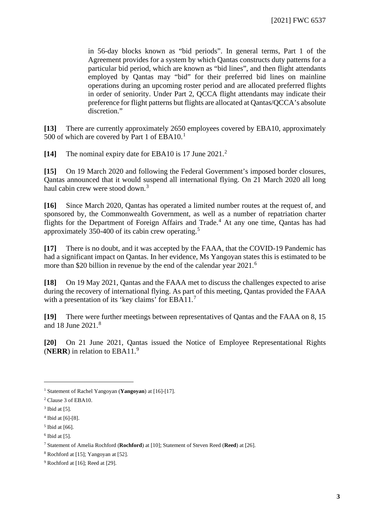in 56-day blocks known as "bid periods". In general terms, Part 1 of the Agreement provides for a system by which Qantas constructs duty patterns for a particular bid period, which are known as "bid lines", and then flight attendants employed by Qantas may "bid" for their preferred bid lines on mainline operations during an upcoming roster period and are allocated preferred flights in order of seniority. Under Part 2, QCCA flight attendants may indicate their preference for flight patterns but flights are allocated at Qantas/QCCA's absolute discretion."

**[13]** There are currently approximately 2650 employees covered by EBA10, approximately 500 of which are covered by Part [1](#page-2-0) of  $EBA10.<sup>1</sup>$ 

**[14]** The nominal expiry date for EBA10 is 17 June 2021.[2](#page-2-1)

**[15]** On 19 March 2020 and following the Federal Government's imposed border closures, Qantas announced that it would suspend all international flying. On 21 March 2020 all long haul cabin crew were stood down.<sup>[3](#page-2-2)</sup>

**[16]** Since March 2020, Qantas has operated a limited number routes at the request of, and sponsored by, the Commonwealth Government, as well as a number of repatriation charter flights for the Department of Foreign Affairs and Trade.<sup>[4](#page-2-3)</sup> At any one time, Oantas has had approximately 350-400 of its cabin crew operating.[5](#page-2-4)

**[17]** There is no doubt, and it was accepted by the FAAA, that the COVID-19 Pandemic has had a significant impact on Qantas. In her evidence, Ms Yangoyan states this is estimated to be more than \$20 billion in revenue by the end of the calendar year 2021.<sup>[6](#page-2-5)</sup>

**[18]** On 19 May 2021, Qantas and the FAAA met to discuss the challenges expected to arise during the recovery of international flying. As part of this meeting, Qantas provided the FAAA with a presentation of its 'key claims' for EBA11.<sup>[7](#page-2-6)</sup>

**[19]** There were further meetings between representatives of Qantas and the FAAA on 8, 15 and 18 June 2021. [8](#page-2-7)

**[20]** On 21 June 2021, Qantas issued the Notice of Employee Representational Rights (**NERR**) in relation to EBA11.[9](#page-2-8)

<span id="page-2-0"></span><sup>1</sup> Statement of Rachel Yangoyan (**Yangoyan**) at [16]-[17].

<span id="page-2-1"></span><sup>2</sup> Clause 3 of EBA10.

<span id="page-2-2"></span> $3$  Ibid at [5].

<span id="page-2-3"></span><sup>4</sup> Ibid at [6]-[8].

<span id="page-2-4"></span> $<sup>5</sup>$  Ibid at [66].</sup>

<span id="page-2-5"></span> $6$  Ibid at [5].

<span id="page-2-6"></span><sup>7</sup> Statement of Amelia Rochford (**Rochford**) at [10]; Statement of Steven Reed (**Reed**) at [26].

<span id="page-2-7"></span><sup>8</sup> Rochford at [15]; Yangoyan at [52].

<span id="page-2-8"></span><sup>9</sup> Rochford at [16]; Reed at [29].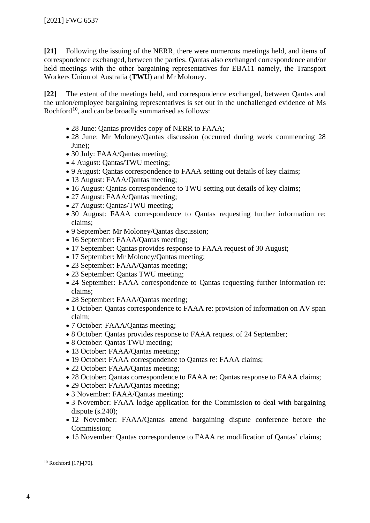**[21]** Following the issuing of the NERR, there were numerous meetings held, and items of correspondence exchanged, between the parties. Qantas also exchanged correspondence and/or held meetings with the other bargaining representatives for EBA11 namely, the Transport Workers Union of Australia (**TWU**) and Mr Moloney.

**[22]** The extent of the meetings held, and correspondence exchanged, between Qantas and the union/employee bargaining representatives is set out in the unchallenged evidence of Ms Rochford<sup>10</sup>, and can be broadly summarised as follows:

- 28 June: Qantas provides copy of NERR to FAAA;
- 28 June: Mr Moloney/Qantas discussion (occurred during week commencing 28 June);
- 30 July: FAAA/Qantas meeting;
- 4 August: Qantas/TWU meeting;
- 9 August: Qantas correspondence to FAAA setting out details of key claims;
- 13 August: FAAA/Qantas meeting;
- 16 August: Qantas correspondence to TWU setting out details of key claims;
- 27 August: FAAA/Qantas meeting;
- 27 August: Qantas/TWU meeting;
- 30 August: FAAA correspondence to Qantas requesting further information re: claims;
- 9 September: Mr Moloney/Qantas discussion;
- 16 September: FAAA/Qantas meeting;
- 17 September: Qantas provides response to FAAA request of 30 August;
- 17 September: Mr Moloney/Qantas meeting;
- 23 September: FAAA/Qantas meeting;
- 23 September: Qantas TWU meeting;
- 24 September: FAAA correspondence to Qantas requesting further information re: claims;
- 28 September: FAAA/Qantas meeting;
- 1 October: Qantas correspondence to FAAA re: provision of information on AV span claim;
- 7 October: FAAA/Qantas meeting;
- 8 October: Qantas provides response to FAAA request of 24 September;
- 8 October: Qantas TWU meeting;
- 13 October: FAAA/Qantas meeting;
- 19 October: FAAA correspondence to Qantas re: FAAA claims;
- 22 October: FAAA/Qantas meeting;
- 28 October: Qantas correspondence to FAAA re: Qantas response to FAAA claims;
- 29 October: FAAA/Qantas meeting;
- 3 November: FAAA/Qantas meeting;
- 3 November: FAAA lodge application for the Commission to deal with bargaining dispute  $(s.240)$ ;
- 12 November: FAAA/Qantas attend bargaining dispute conference before the Commission;
- 15 November: Qantas correspondence to FAAA re: modification of Qantas' claims;

<span id="page-3-0"></span><sup>10</sup> Rochford [17]-[70].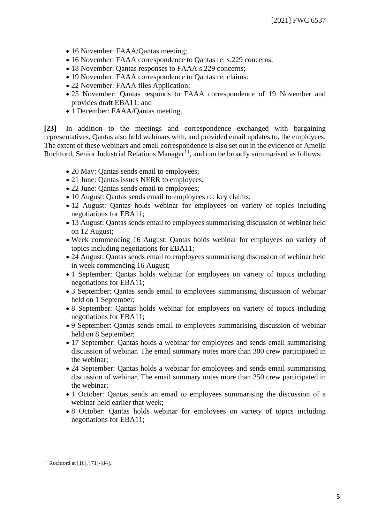- 16 November: FAAA/Qantas meeting;
- 16 November: FAAA correspondence to Qantas re: s.229 concerns;
- 18 November: Qantas responses to FAAA s.229 concerns;
- 19 November: FAAA correspondence to Qantas re: claims:
- 22 November: FAAA files Application;
- 25 November: Qantas responds to FAAA correspondence of 19 November and provides draft EBA11; and
- 1 December: FAAA/Qantas meeting.

**[23]** In addition to the meetings and correspondence exchanged with bargaining representatives, Qantas also held webinars with, and provided email updates to, the employees. The extent of these webinars and email correspondence is also set out in the evidence of Amelia Rochford, Senior Industrial Relations Manager<sup>[11](#page-4-0)</sup>, and can be broadly summarised as follows:

- 20 May: Qantas sends email to employees;
- 21 June: Qantas issues NERR to employees;
- 22 June: Qantas sends email to employees;
- 10 August: Qantas sends email to employees re: key claims;
- 12 August: Qantas holds webinar for employees on variety of topics including negotiations for EBA11;
- 13 August: Qantas sends email to employees summarising discussion of webinar held on 12 August;
- Week commencing 16 August: Qantas holds webinar for employees on variety of topics including negotiations for EBA11;
- 24 August: Qantas sends email to employees summarising discussion of webinar held in week commencing 16 August;
- 1 September: Qantas holds webinar for employees on variety of topics including negotiations for EBA11;
- 3 September: Qantas sends email to employees summarising discussion of webinar held on 1 September;
- 8 September: Qantas holds webinar for employees on variety of topics including negotiations for EBA11;
- 9 September: Qantas sends email to employees summarising discussion of webinar held on 8 September;
- 17 September: Qantas holds a webinar for employees and sends email summarising discussion of webinar. The email summary notes more than 300 crew participated in the webinar;
- 24 September: Qantas holds a webinar for employees and sends email summarising discussion of webinar. The email summary notes more than 250 crew participated in the webinar;
- 1 October: Qantas sends an email to employees summarising the discussion of a webinar held earlier that week;
- 8 October: Qantas holds webinar for employees on variety of topics including negotiations for EBA11;

<span id="page-4-0"></span> $11$  Rochford at [16], [71]-[84].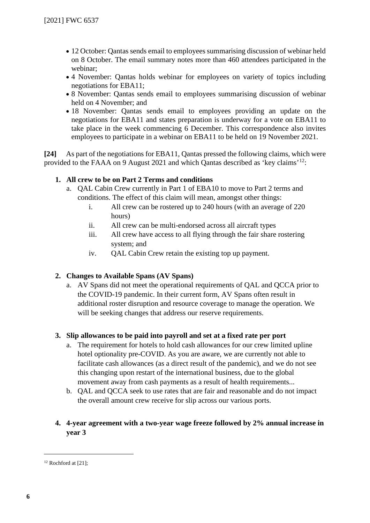- 12 October: Qantas sends email to employees summarising discussion of webinar held on 8 October. The email summary notes more than 460 attendees participated in the webinar;
- 4 November: Qantas holds webinar for employees on variety of topics including negotiations for EBA11;
- 8 November: Qantas sends email to employees summarising discussion of webinar held on 4 November; and
- 18 November: Qantas sends email to employees providing an update on the negotiations for EBA11 and states preparation is underway for a vote on EBA11 to take place in the week commencing 6 December. This correspondence also invites employees to participate in a webinar on EBA11 to be held on 19 November 2021.

**[24]** As part of the negotiations for EBA11, Qantas pressed the following claims, which were provided to the FAAA on 9 August 2021 and which Qantas described as 'key claims'[12](#page-5-0):

#### **1. All crew to be on Part 2 Terms and conditions**

- a. QAL Cabin Crew currently in Part 1 of EBA10 to move to Part 2 terms and conditions. The effect of this claim will mean, amongst other things:
	- i. All crew can be rostered up to 240 hours (with an average of 220 hours)
	- ii. All crew can be multi-endorsed across all aircraft types
	- iii. All crew have access to all flying through the fair share rostering system; and
	- iv. QAL Cabin Crew retain the existing top up payment.

#### **2. Changes to Available Spans (AV Spans)**

a. AV Spans did not meet the operational requirements of QAL and QCCA prior to the COVID-19 pandemic. In their current form, AV Spans often result in additional roster disruption and resource coverage to manage the operation. We will be seeking changes that address our reserve requirements.

#### **3. Slip allowances to be paid into payroll and set at a fixed rate per port**

- a. The requirement for hotels to hold cash allowances for our crew limited upline hotel optionality pre-COVID. As you are aware, we are currently not able to facilitate cash allowances (as a direct result of the pandemic), and we do not see this changing upon restart of the international business, due to the global movement away from cash payments as a result of health requirements...
- b. QAL and QCCA seek to use rates that are fair and reasonable and do not impact the overall amount crew receive for slip across our various ports.

#### **4. 4-year agreement with a two-year wage freeze followed by 2% annual increase in year 3**

<span id="page-5-0"></span><sup>12</sup> Rochford at [21];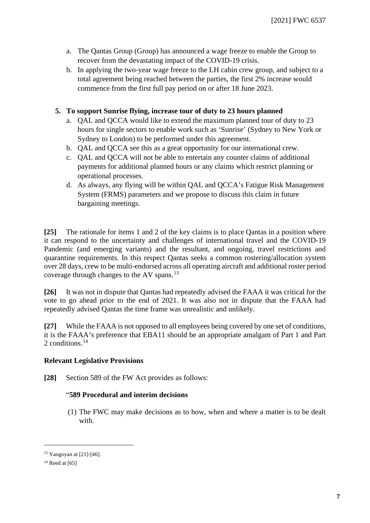- a. The Qantas Group (Group) has announced a wage freeze to enable the Group to recover from the devastating impact of the COVID-19 crisis.
- b. In applying the two-year wage freeze to the LH cabin crew group, and subject to a total agreement being reached between the parties, the first 2% increase would commence from the first full pay period on or after 18 June 2023.

#### **5. To support Sunrise flying, increase tour of duty to 23 hours planned**

- a. QAL and QCCA would like to extend the maximum planned tour of duty to 23 hours for single sectors to enable work such as 'Sunrise' (Sydney to New York or Sydney to London) to be performed under this agreement.
- b. QAL and QCCA see this as a great opportunity for our international crew.
- c. QAL and QCCA will not be able to entertain any counter claims of additional payments for additional planned hours or any claims which restrict planning or operational processes.
- d. As always, any flying will be within QAL and QCCA's Fatigue Risk Management System (FRMS) parameters and we propose to discuss this claim in future bargaining meetings.

**[25]** The rationale for items 1 and 2 of the key claims is to place Qantas in a position where it can respond to the uncertainty and challenges of international travel and the COVID-19 Pandemic (and emerging variants) and the resultant, and ongoing, travel restrictions and quarantine requirements. In this respect Qantas seeks a common rostering/allocation system over 28 days, crew to be multi-endorsed across all operating aircraft and additional roster period coverage through changes to the AV spans.[13](#page-6-0)

**[26]** It was not in dispute that Qantas had repeatedly advised the FAAA it was critical for the vote to go ahead prior to the end of 2021. It was also not in dispute that the FAAA had repeatedly advised Qantas the time frame was unrealistic and unlikely.

**[27]** While the FAAA is not opposed to all employees being covered by one set of conditions, it is the FAAA's preference that EBA11 should be an appropriate amalgam of Part 1 and Part 2 conditions.<sup>[14](#page-6-1)</sup>

#### **Relevant Legislative Provisions**

**[28]** Section 589 of the FW Act provides as follows:

#### "**589 Procedural and interim decisions**

(1) The FWC may make decisions as to how, when and where a matter is to be dealt with.

<span id="page-6-0"></span><sup>13</sup> Yangoyan at [21]-[46].

<span id="page-6-1"></span> $14$  Reed at [65]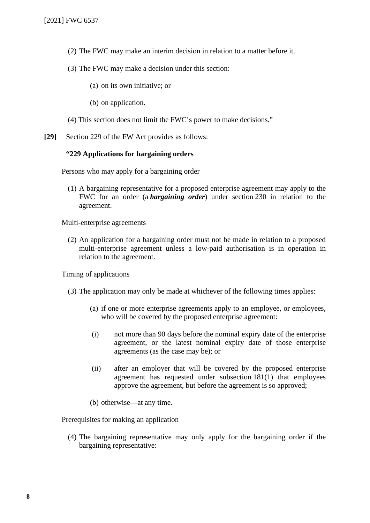- (2) The FWC may make an interim decision in relation to a matter before it.
- (3) The FWC may make a decision under this section:
	- (a) on its own initiative; or
	- (b) on application.
- (4) This section does not limit the FWC's power to make decisions."
- **[29]** Section 229 of the FW Act provides as follows:

#### **"229 Applications for bargaining orders**

Persons who may apply for a bargaining order

(1) A bargaining representative for a proposed enterprise agreement may apply to the FWC for an order (a *bargaining order*) under section 230 in relation to the agreement.

Multi-enterprise agreements

(2) An application for a bargaining order must not be made in relation to a proposed multi-enterprise agreement unless a low-paid authorisation is in operation in relation to the agreement.

Timing of applications

- (3) The application may only be made at whichever of the following times applies:
	- (a) if one or more enterprise agreements apply to an employee, or employees, who will be covered by the proposed enterprise agreement:
	- (i) not more than 90 days before the nominal expiry date of the enterprise agreement, or the latest nominal expiry date of those enterprise agreements (as the case may be); or
	- (ii) after an employer that will be covered by the proposed enterprise agreement has requested under subsection 181(1) that employees approve the agreement, but before the agreement is so approved;
	- (b) otherwise—at any time.

Prerequisites for making an application

(4) The bargaining representative may only apply for the bargaining order if the bargaining representative: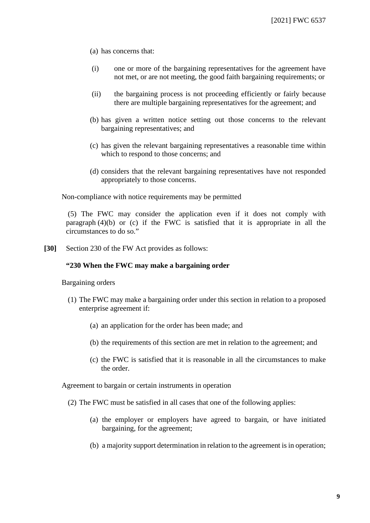- (a) has concerns that:
- (i) one or more of the bargaining representatives for the agreement have not met, or are not meeting, the good faith bargaining requirements; or
- (ii) the bargaining process is not proceeding efficiently or fairly because there are multiple bargaining representatives for the agreement; and
- (b) has given a written notice setting out those concerns to the relevant bargaining representatives; and
- (c) has given the relevant bargaining representatives a reasonable time within which to respond to those concerns; and
- (d) considers that the relevant bargaining representatives have not responded appropriately to those concerns.

Non-compliance with notice requirements may be permitted

(5) The FWC may consider the application even if it does not comply with paragraph (4)(b) or (c) if the FWC is satisfied that it is appropriate in all the circumstances to do so."

**[30]** Section 230 of the FW Act provides as follows:

#### **"230 When the FWC may make a bargaining order**

Bargaining orders

- (1) The FWC may make a bargaining order under this section in relation to a proposed enterprise agreement if:
	- (a) an application for the order has been made; and
	- (b) the requirements of this section are met in relation to the agreement; and
	- (c) the FWC is satisfied that it is reasonable in all the circumstances to make the order.

Agreement to bargain or certain instruments in operation

- (2) The FWC must be satisfied in all cases that one of the following applies:
	- (a) the employer or employers have agreed to bargain, or have initiated bargaining, for the agreement;
	- (b) a majority support determination in relation to the agreement is in operation;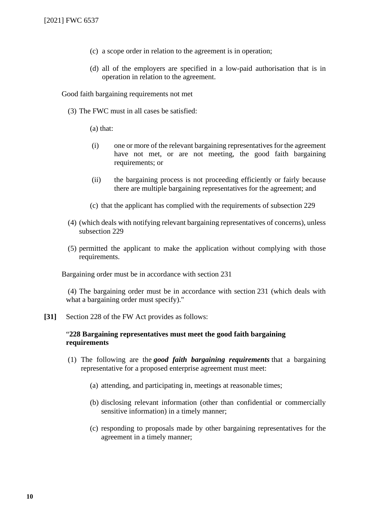- (c) a scope order in relation to the agreement is in operation;
- (d) all of the employers are specified in a low-paid authorisation that is in operation in relation to the agreement.

Good faith bargaining requirements not met

(3) The FWC must in all cases be satisfied:

(a) that:

- (i) one or more of the relevant bargaining representatives for the agreement have not met, or are not meeting, the good faith bargaining requirements; or
- (ii) the bargaining process is not proceeding efficiently or fairly because there are multiple bargaining representatives for the agreement; and
- (c) that the applicant has complied with the requirements of subsection 229
- (4) (which deals with notifying relevant bargaining representatives of concerns), unless subsection 229
- (5) permitted the applicant to make the application without complying with those requirements.

Bargaining order must be in accordance with section 231

(4) The bargaining order must be in accordance with section 231 (which deals with what a bargaining order must specify)."

**[31]** Section 228 of the FW Act provides as follows:

#### "**228 Bargaining representatives must meet the good faith bargaining requirements**

- (1) The following are the *good faith bargaining requirements* that a bargaining representative for a proposed enterprise agreement must meet:
	- (a) attending, and participating in, meetings at reasonable times;
	- (b) disclosing relevant information (other than confidential or commercially sensitive information) in a timely manner;
	- (c) responding to proposals made by other bargaining representatives for the agreement in a timely manner;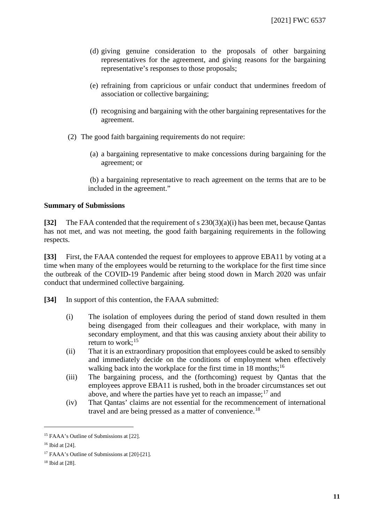- (d) giving genuine consideration to the proposals of other bargaining representatives for the agreement, and giving reasons for the bargaining representative's responses to those proposals;
- (e) refraining from capricious or unfair conduct that undermines freedom of association or collective bargaining;
- (f) recognising and bargaining with the other bargaining representatives for the agreement.
- (2) The good faith bargaining requirements do not require:
	- (a) a bargaining representative to make concessions during bargaining for the agreement; or

(b) a bargaining representative to reach agreement on the terms that are to be included in the agreement."

#### **Summary of Submissions**

**[32]** The FAA contended that the requirement of s 230(3)(a)(i) has been met, because Qantas has not met, and was not meeting, the good faith bargaining requirements in the following respects.

**[33]** First, the FAAA contended the request for employees to approve EBA11 by voting at a time when many of the employees would be returning to the workplace for the first time since the outbreak of the COVID-19 Pandemic after being stood down in March 2020 was unfair conduct that undermined collective bargaining.

**[34]** In support of this contention, the FAAA submitted:

- (i) The isolation of employees during the period of stand down resulted in them being disengaged from their colleagues and their workplace, with many in secondary employment, and that this was causing anxiety about their ability to return to work;  $15$
- (ii) That it is an extraordinary proposition that employees could be asked to sensibly and immediately decide on the conditions of employment when effectively walking back into the workplace for the first time in 18 months;<sup>[16](#page-10-1)</sup>
- (iii) The bargaining process, and the (forthcoming) request by Qantas that the employees approve EBA11 is rushed, both in the broader circumstances set out above, and where the parties have yet to reach an impasse; $17$  and
- (iv) That Qantas' claims are not essential for the recommencement of international travel and are being pressed as a matter of convenience.<sup>[18](#page-10-3)</sup>

<span id="page-10-0"></span><sup>&</sup>lt;sup>15</sup> FAAA's Outline of Submissions at [22].

<span id="page-10-1"></span><sup>16</sup> Ibid at [24].

<span id="page-10-2"></span><sup>17</sup> FAAA's Outline of Submissions at [20]-[21].

<span id="page-10-3"></span><sup>18</sup> Ibid at [28].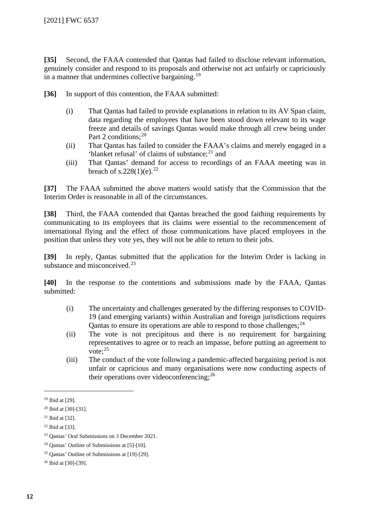**[35]** Second, the FAAA contended that Qantas had failed to disclose relevant information, genuinely consider and respond to its proposals and otherwise not act unfairly or capriciously in a manner that undermines collective bargaining.<sup>[19](#page-11-0)</sup>

**[36]** In support of this contention, the FAAA submitted:

- (i) That Qantas had failed to provide explanations in relation to its AV Span claim, data regarding the employees that have been stood down relevant to its wage freeze and details of savings Qantas would make through all crew being under Part 2 conditions;<sup>[20](#page-11-1)</sup>
- (ii) That Qantas has failed to consider the FAAA's claims and merely engaged in a 'blanket refusal' of claims of substance; $^{21}$  $^{21}$  $^{21}$  and
- (iii) That Qantas' demand for access to recordings of an FAAA meeting was in breach of s.[22](#page-11-3)8(1)(e).<sup>22</sup>

**[37]** The FAAA submitted the above matters would satisfy that the Commission that the Interim Order is reasonable in all of the circumstances.

**[38]** Third, the FAAA contended that Qantas breached the good faithing requirements by communicating to its employees that its claims were essential to the recommencement of international flying and the effect of those communications have placed employees in the position that unless they vote yes, they will not be able to return to their jobs.

**[39]** In reply, Qantas submitted that the application for the Interim Order is lacking in substance and misconceived.<sup>[23](#page-11-4)</sup>

**[40]** In the response to the contentions and submissions made by the FAAA, Qantas submitted:

- (i) The uncertainty and challenges generated by the differing responses to COVID-19 (and emerging variants) within Australian and foreign jurisdictions requires Qantas to ensure its operations are able to respond to those challenges;  $^{24}$  $^{24}$  $^{24}$
- (ii) The vote is not precipitous and there is no requirement for bargaining representatives to agree or to reach an impasse, before putting an agreement to vote:  $25$
- (iii) The conduct of the vote following a pandemic-affected bargaining period is not unfair or capricious and many organisations were now conducting aspects of their operations over videoconferencing;  $26$

<span id="page-11-0"></span><sup>19</sup> Ibid at [29].

<span id="page-11-1"></span><sup>20</sup> Ibid at [30]-[31].

<span id="page-11-2"></span><sup>21</sup> Ibid at [32].

<span id="page-11-3"></span><sup>22</sup> Ibid at [33].

<span id="page-11-4"></span><sup>23</sup> Qantas' Oral Submissions on 3 December 2021.

<span id="page-11-5"></span><sup>24</sup> Qantas' Outline of Submissions at [5]-[10].

<span id="page-11-6"></span><sup>25</sup> Qantas' Outline of Submissions at [19]-[29].

<span id="page-11-7"></span><sup>26</sup> Ibid at [30]-[39].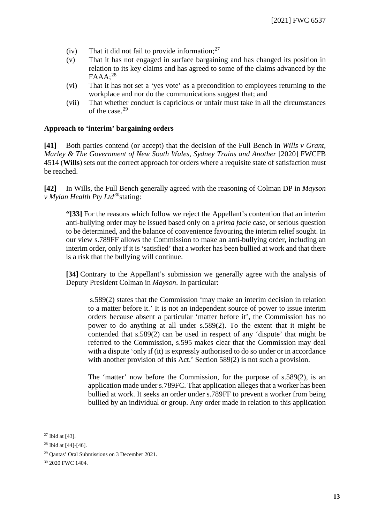- (iv) That it did not fail to provide information;  $27$
- (v) That it has not engaged in surface bargaining and has changed its position in relation to its key claims and has agreed to some of the claims advanced by the  $FAAA:^{28}$  $FAAA:^{28}$  $FAAA:^{28}$
- (vi) That it has not set a 'yes vote' as a precondition to employees returning to the workplace and nor do the communications suggest that; and
- (vii) That whether conduct is capricious or unfair must take in all the circumstances of the case.<sup>[29](#page-12-2)</sup>

#### **Approach to 'interim' bargaining orders**

**[41]** Both parties contend (or accept) that the decision of the Full Bench in *Wills v Grant, Marley & The Government of New South Wales, Sydney Trains and Another* [2020] FWCFB 4514 (**Wills**) sets out the correct approach for orders where a requisite state of satisfaction must be reached.

**[42]** In Wills, the Full Bench generally agreed with the reasoning of Colman DP in *Mayson v Mylan Health Pty Ltd[30](#page-12-3)*stating:

**"[33]** For the reasons which follow we reject the Appellant's contention that an interim anti-bullying order may be issued based only on a *prima facie* case, or serious question to be determined, and the balance of convenience favouring the interim relief sought. In our view s.789FF allows the Commission to make an anti-bullying order, including an interim order, only if it is 'satisfied' that a worker has been bullied at work and that there is a risk that the bullying will continue.

**[34]** Contrary to the Appellant's submission we generally agree with the analysis of Deputy President Colman in *Mayson*. In particular:

s.589(2) states that the Commission 'may make an interim decision in relation to a matter before it.' It is not an independent source of power to issue interim orders because absent a particular 'matter before it', the Commission has no power to do anything at all under s.589(2). To the extent that it might be contended that s.589(2) can be used in respect of any 'dispute' that might be referred to the Commission, s.595 makes clear that the Commission may deal with a dispute 'only if (it) is expressly authorised to do so under or in accordance with another provision of this Act.' Section 589(2) is not such a provision.

The 'matter' now before the Commission, for the purpose of s.589(2), is an application made under s.789FC. That application alleges that a worker has been bullied at work. It seeks an order under s.789FF to prevent a worker from being bullied by an individual or group. Any order made in relation to this application

<span id="page-12-0"></span> $27$  Ibid at [43].

<span id="page-12-1"></span><sup>28</sup> Ibid at [44]-[46].

<span id="page-12-2"></span><sup>29</sup> Qantas' Oral Submissions on 3 December 2021.

<span id="page-12-3"></span><sup>30</sup> 2020 FWC 1404.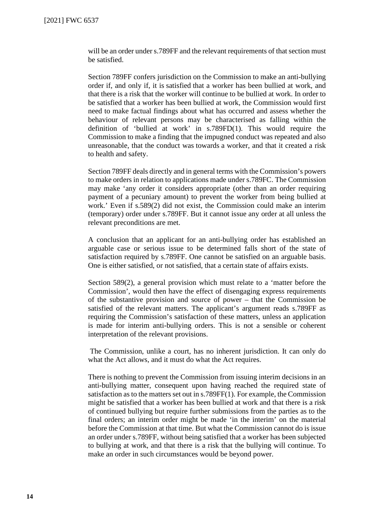will be an order under s.789FF and the relevant requirements of that section must be satisfied.

Section 789FF confers jurisdiction on the Commission to make an anti-bullying order if, and only if, it is satisfied that a worker has been bullied at work, and that there is a risk that the worker will continue to be bullied at work. In order to be satisfied that a worker has been bullied at work, the Commission would first need to make factual findings about what has occurred and assess whether the behaviour of relevant persons may be characterised as falling within the definition of 'bullied at work' in s.789FD(1). This would require the Commission to make a finding that the impugned conduct was repeated and also unreasonable, that the conduct was towards a worker, and that it created a risk to health and safety.

Section 789FF deals directly and in general terms with the Commission's powers to make orders in relation to applications made under s.789FC. The Commission may make 'any order it considers appropriate (other than an order requiring payment of a pecuniary amount) to prevent the worker from being bullied at work.' Even if s.589(2) did not exist, the Commission could make an interim (temporary) order under s.789FF. But it cannot issue any order at all unless the relevant preconditions are met.

A conclusion that an applicant for an anti-bullying order has established an arguable case or serious issue to be determined falls short of the state of satisfaction required by s.789FF. One cannot be satisfied on an arguable basis. One is either satisfied, or not satisfied, that a certain state of affairs exists.

Section 589(2), a general provision which must relate to a 'matter before the Commission', would then have the effect of disengaging express requirements of the substantive provision and source of power – that the Commission be satisfied of the relevant matters. The applicant's argument reads s.789FF as requiring the Commission's satisfaction of these matters, unless an application is made for interim anti-bullying orders. This is not a sensible or coherent interpretation of the relevant provisions.

The Commission, unlike a court, has no inherent jurisdiction. It can only do what the Act allows, and it must do what the Act requires.

There is nothing to prevent the Commission from issuing interim decisions in an anti-bullying matter, consequent upon having reached the required state of satisfaction as to the matters set out in s.789FF(1). For example, the Commission might be satisfied that a worker has been bullied at work and that there is a risk of continued bullying but require further submissions from the parties as to the final orders; an interim order might be made 'in the interim' on the material before the Commission at that time. But what the Commission cannot do is issue an order under s.789FF, without being satisfied that a worker has been subjected to bullying at work, and that there is a risk that the bullying will continue. To make an order in such circumstances would be beyond power.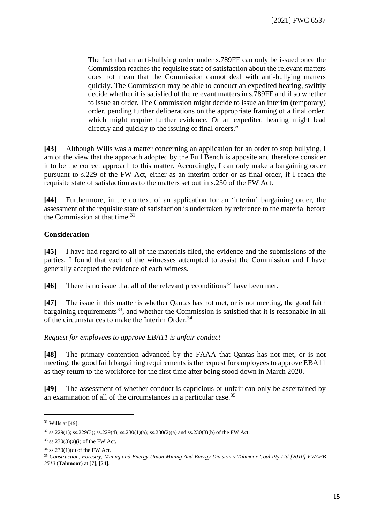The fact that an anti-bullying order under s.789FF can only be issued once the Commission reaches the requisite state of satisfaction about the relevant matters does not mean that the Commission cannot deal with anti-bullying matters quickly. The Commission may be able to conduct an expedited hearing, swiftly decide whether it is satisfied of the relevant matters in s.789FF and if so whether to issue an order. The Commission might decide to issue an interim (temporary) order, pending further deliberations on the appropriate framing of a final order, which might require further evidence. Or an expedited hearing might lead directly and quickly to the issuing of final orders."

**[43]** Although Wills was a matter concerning an application for an order to stop bullying, I am of the view that the approach adopted by the Full Bench is apposite and therefore consider it to be the correct approach to this matter. Accordingly, I can only make a bargaining order pursuant to s.229 of the FW Act, either as an interim order or as final order, if I reach the requisite state of satisfaction as to the matters set out in s.230 of the FW Act.

**[44]** Furthermore, in the context of an application for an 'interim' bargaining order, the assessment of the requisite state of satisfaction is undertaken by reference to the material before the Commission at that time. $31$ 

#### **Consideration**

**[45]** I have had regard to all of the materials filed, the evidence and the submissions of the parties. I found that each of the witnesses attempted to assist the Commission and I have generally accepted the evidence of each witness.

**[46]** There is no issue that all of the relevant preconditions<sup>[32](#page-14-1)</sup> have been met.

**[47]** The issue in this matter is whether Qantas has not met, or is not meeting, the good faith bargaining requirements<sup>33</sup>, and whether the Commission is satisfied that it is reasonable in all of the circumstances to make the Interim Order.<sup>[34](#page-14-3)</sup>

#### *Request for employees to approve EBA11 is unfair conduct*

**[48]** The primary contention advanced by the FAAA that Qantas has not met, or is not meeting, the good faith bargaining requirements is the request for employees to approve EBA11 as they return to the workforce for the first time after being stood down in March 2020.

**[49]** The assessment of whether conduct is capricious or unfair can only be ascertained by an examination of all of the circumstances in a particular case.[35](#page-14-4)

<span id="page-14-0"></span><sup>31</sup> Wills at [49].

<span id="page-14-1"></span> $32$  ss.229(1); ss.229(3); ss.229(4); ss.230(1)(a); ss.230(2)(a) and ss.230(3)(b) of the FW Act.

<span id="page-14-2"></span> $33$  ss.230(3)(a)(i) of the FW Act.

<span id="page-14-4"></span><span id="page-14-3"></span>

<sup>&</sup>lt;sup>34</sup> ss.230(1)(c) of the FW Act.<br><sup>35</sup> *Construction, Forestry, Mining and Energy Union-Mining And Energy Division v Tahmoor Coal Pty Ltd [2010] FWAFB 3510* (**Tahmoor**) at [7], [24].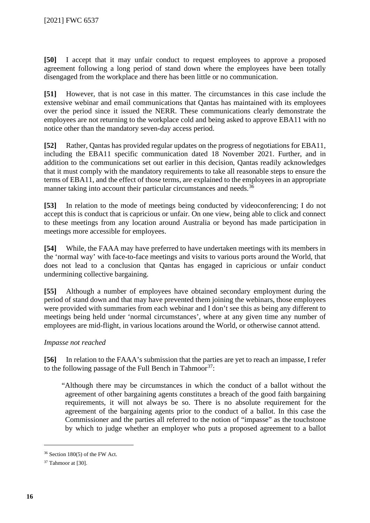**[50]** I accept that it may unfair conduct to request employees to approve a proposed agreement following a long period of stand down where the employees have been totally disengaged from the workplace and there has been little or no communication.

**[51]** However, that is not case in this matter. The circumstances in this case include the extensive webinar and email communications that Qantas has maintained with its employees over the period since it issued the NERR. These communications clearly demonstrate the employees are not returning to the workplace cold and being asked to approve EBA11 with no notice other than the mandatory seven-day access period.

**[52]** Rather, Qantas has provided regular updates on the progress of negotiations for EBA11, including the EBA11 specific communication dated 18 November 2021. Further, and in addition to the communications set out earlier in this decision, Qantas readily acknowledges that it must comply with the mandatory requirements to take all reasonable steps to ensure the terms of EBA11, and the effect of those terms, are explained to the employees in an appropriate manner taking into account their particular circumstances and needs.<sup>[36](#page-15-0)</sup>

**[53]** In relation to the mode of meetings being conducted by videoconferencing; I do not accept this is conduct that is capricious or unfair. On one view, being able to click and connect to these meetings from any location around Australia or beyond has made participation in meetings more accessible for employees.

**[54]** While, the FAAA may have preferred to have undertaken meetings with its members in the 'normal way' with face-to-face meetings and visits to various ports around the World, that does not lead to a conclusion that Qantas has engaged in capricious or unfair conduct undermining collective bargaining.

**[55]** Although a number of employees have obtained secondary employment during the period of stand down and that may have prevented them joining the webinars, those employees were provided with summaries from each webinar and I don't see this as being any different to meetings being held under 'normal circumstances', where at any given time any number of employees are mid-flight, in various locations around the World, or otherwise cannot attend.

#### *Impasse not reached*

**[56]** In relation to the FAAA's submission that the parties are yet to reach an impasse, I refer to the following passage of the Full Bench in Tahmoor<sup>[37](#page-15-1)</sup>:

"Although there may be circumstances in which the conduct of a ballot without the agreement of other bargaining agents constitutes a breach of the good faith bargaining requirements, it will not always be so. There is no absolute requirement for the agreement of the bargaining agents prior to the conduct of a ballot. In this case the Commissioner and the parties all referred to the notion of "impasse" as the touchstone by which to judge whether an employer who puts a proposed agreement to a ballot

<span id="page-15-0"></span><sup>36</sup> Section 180(5) of the FW Act.

<span id="page-15-1"></span><sup>&</sup>lt;sup>37</sup> Tahmoor at [30].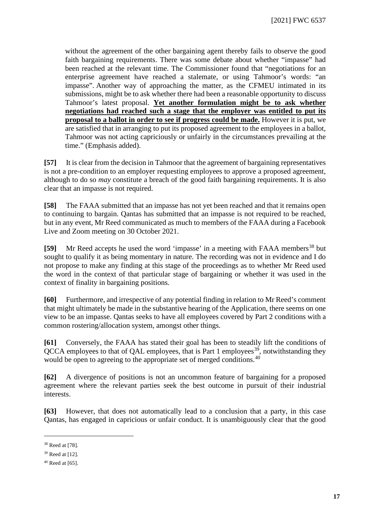without the agreement of the other bargaining agent thereby fails to observe the good faith bargaining requirements. There was some debate about whether "impasse" had been reached at the relevant time. The Commissioner found that "negotiations for an enterprise agreement have reached a stalemate, or using Tahmoor's words: "an impasse". Another way of approaching the matter, as the CFMEU intimated in its submissions, might be to ask whether there had been a reasonable opportunity to discuss Tahmoor's latest proposal. **Yet another formulation might be to ask whether negotiations had reached such a stage that the employer was entitled to put its proposal to a ballot in order to see if progress could be made.** However it is put, we are satisfied that in arranging to put its proposed agreement to the employees in a ballot, Tahmoor was not acting capriciously or unfairly in the circumstances prevailing at the time." (Emphasis added).

**[57]** It is clear from the decision in Tahmoor that the agreement of bargaining representatives is not a pre-condition to an employer requesting employees to approve a proposed agreement, although to do so *may* constitute a breach of the good faith bargaining requirements. It is also clear that an impasse is not required.

**[58]** The FAAA submitted that an impasse has not yet been reached and that it remains open to continuing to bargain. Qantas has submitted that an impasse is not required to be reached, but in any event, Mr Reed communicated as much to members of the FAAA during a Facebook Live and Zoom meeting on 30 October 2021.

**[59]** Mr Reed accepts he used the word 'impasse' in a meeting with FAAA members<sup>[38](#page-16-0)</sup> but sought to qualify it as being momentary in nature. The recording was not in evidence and I do not propose to make any finding at this stage of the proceedings as to whether Mr Reed used the word in the context of that particular stage of bargaining or whether it was used in the context of finality in bargaining positions.

**[60]** Furthermore, and irrespective of any potential finding in relation to Mr Reed's comment that might ultimately be made in the substantive hearing of the Application, there seems on one view to be an impasse. Qantas seeks to have all employees covered by Part 2 conditions with a common rostering/allocation system, amongst other things.

**[61]** Conversely, the FAAA has stated their goal has been to steadily lift the conditions of  $OCCA$  employees to that of OAL employees, that is Part 1 employees<sup>[39](#page-16-1)</sup>, notwithstanding they would be open to agreeing to the appropriate set of merged conditions.<sup>[40](#page-16-2)</sup>

**[62]** A divergence of positions is not an uncommon feature of bargaining for a proposed agreement where the relevant parties seek the best outcome in pursuit of their industrial interests.

**[63]** However, that does not automatically lead to a conclusion that a party, in this case Qantas, has engaged in capricious or unfair conduct. It is unambiguously clear that the good

<span id="page-16-0"></span><sup>38</sup> Reed at [78].

<span id="page-16-1"></span><sup>39</sup> Reed at [12].

<span id="page-16-2"></span><sup>40</sup> Reed at [65].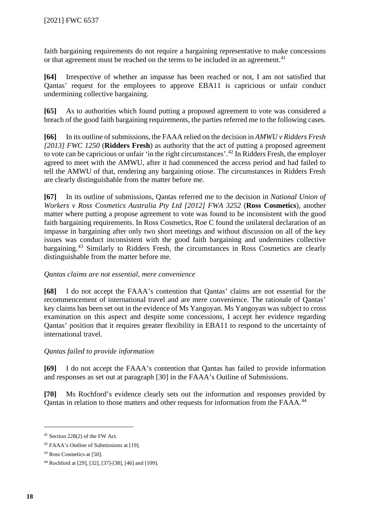faith bargaining requirements do not require a bargaining representative to make concessions or that agreement must be reached on the terms to be included in an agreement.<sup>[41](#page-17-0)</sup>

**[64]** Irrespective of whether an impasse has been reached or not, I am not satisfied that Qantas' request for the employees to approve EBA11 is capricious or unfair conduct undermining collective bargaining.

**[65]** As to authorities which found putting a proposed agreement to vote was considered a breach of the good faith bargaining requirements, the parties referred me to the following cases.

**[66]** In its outline of submissions, the FAAA relied on the decision in *AMWU v Ridders Fresh [2013] FWC 1250* (**Ridders Fresh**) as authority that the act of putting a proposed agreement to vote can be capricious or unfair 'in the right circumstances'. [42](#page-17-1) In Ridders Fresh, the employer agreed to meet with the AMWU, after it had commenced the access period and had failed to tell the AMWU of that, rendering any bargaining otiose. The circumstances in Ridders Fresh are clearly distinguishable from the matter before me.

**[67]** In its outline of submissions, Qantas referred me to the decision in *National Union of Workers v Ross Cosmetics Australia Pty Ltd [2012] FWA 3252* (**Ross Cosmetics**), another matter where putting a propose agreement to vote was found to be inconsistent with the good faith bargaining requirements. In Ross Cosmetics, Roe C found the unilateral declaration of an impasse in bargaining after only two short meetings and without discussion on all of the key issues was conduct inconsistent with the good faith bargaining and undermines collective bargaining.[43](#page-17-2) Similarly to Ridders Fresh, the circumstances in Ross Cosmetics are clearly distinguishable from the matter before me.

#### *Qantas claims are not essential, mere convenience*

**[68]** I do not accept the FAAA's contention that Qantas' claims are not essential for the recommencement of international travel and are mere convenience. The rationale of Qantas' key claims has been set out in the evidence of Ms Yangoyan. Ms Yangoyan was subject to cross examination on this aspect and despite some concessions, I accept her evidence regarding Qantas' position that it requires greater flexibility in EBA11 to respond to the uncertainty of international travel.

### *Qantas failed to provide information*

**[69]** I do not accept the FAAA's contention that Qantas has failed to provide information and responses as set out at paragraph [30] in the FAAA's Outline of Submissions.

**[70]** Ms Rochford's evidence clearly sets out the information and responses provided by Qantas in relation to those matters and other requests for information from the FAAA.<sup>[44](#page-17-3)</sup>

<span id="page-17-0"></span><sup>41</sup> Section 228(2) of the FW Act.

<span id="page-17-1"></span><sup>42</sup> FAAA's Outline of Submissions at [19].

<span id="page-17-2"></span><sup>43</sup> Ross Cosmetics at [50].

<span id="page-17-3"></span><sup>44</sup> Rochford at [29], [32], [37]-[38], [46] and [109].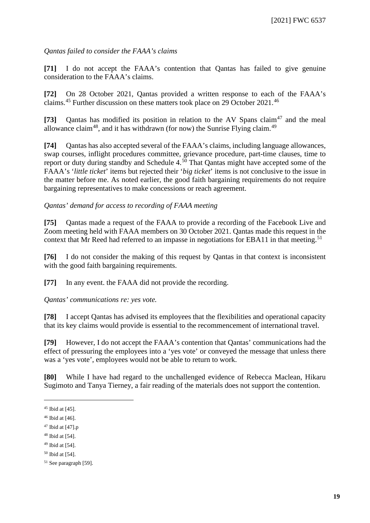#### *Qantas failed to consider the FAAA's claims*

**[71]** I do not accept the FAAA's contention that Qantas has failed to give genuine consideration to the FAAA's claims.

**[72]** On 28 October 2021, Qantas provided a written response to each of the FAAA's claims.[45](#page-18-0) Further discussion on these matters took place on 29 October 2021.[46](#page-18-1)

[73] Qantas has modified its position in relation to the AV Spans claim<sup>[47](#page-18-2)</sup> and the meal allowance claim<sup>48</sup>, and it has withdrawn (for now) the Sunrise Flying claim.<sup>[49](#page-18-4)</sup>

**[74]** Qantas has also accepted several of the FAAA's claims, including language allowances, swap courses, inflight procedures committee, grievance procedure, part-time clauses, time to report or duty during standby and Schedule 4.<sup>[50](#page-18-5)</sup> That Qantas might have accepted some of the FAAA's '*little ticket*' items but rejected their '*big ticket*' items is not conclusive to the issue in the matter before me. As noted earlier, the good faith bargaining requirements do not require bargaining representatives to make concessions or reach agreement.

#### *Qantas' demand for access to recording of FAAA meeting*

**[75]** Qantas made a request of the FAAA to provide a recording of the Facebook Live and Zoom meeting held with FAAA members on 30 October 2021. Qantas made this request in the context that Mr Reed had referred to an impasse in negotiations for EBA11 in that meeting.<sup>[51](#page-18-6)</sup>

**[76]** I do not consider the making of this request by Qantas in that context is inconsistent with the good faith bargaining requirements.

**[77]** In any event. the FAAA did not provide the recording.

*Qantas' communications re: yes vote.*

**[78]** I accept Qantas has advised its employees that the flexibilities and operational capacity that its key claims would provide is essential to the recommencement of international travel.

**[79]** However, I do not accept the FAAA's contention that Qantas' communications had the effect of pressuring the employees into a 'yes vote' or conveyed the message that unless there was a 'yes vote', employees would not be able to return to work.

**[80]** While I have had regard to the unchallenged evidence of Rebecca Maclean, Hikaru Sugimoto and Tanya Tierney, a fair reading of the materials does not support the contention.

<span id="page-18-0"></span> $45$  Ibid at [45].

<span id="page-18-1"></span> $46$  Ibid at [46].

<span id="page-18-2"></span> $47$  Ibid at [47].p

<span id="page-18-3"></span> $48$  Ibid at [54].

<span id="page-18-4"></span><sup>49</sup> Ibid at [54].

<span id="page-18-5"></span><sup>50</sup> Ibid at [54].

<span id="page-18-6"></span><sup>51</sup> See paragraph [59].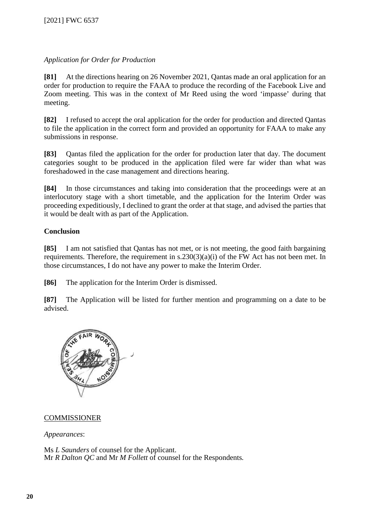#### *Application for Order for Production*

**[81]** At the directions hearing on 26 November 2021, Qantas made an oral application for an order for production to require the FAAA to produce the recording of the Facebook Live and Zoom meeting. This was in the context of Mr Reed using the word 'impasse' during that meeting.

**[82]** I refused to accept the oral application for the order for production and directed Qantas to file the application in the correct form and provided an opportunity for FAAA to make any submissions in response.

**[83]** Qantas filed the application for the order for production later that day. The document categories sought to be produced in the application filed were far wider than what was foreshadowed in the case management and directions hearing.

**[84]** In those circumstances and taking into consideration that the proceedings were at an interlocutory stage with a short timetable, and the application for the Interim Order was proceeding expeditiously, I declined to grant the order at that stage, and advised the parties that it would be dealt with as part of the Application.

#### **Conclusion**

**[85]** I am not satisfied that Qantas has not met, or is not meeting, the good faith bargaining requirements. Therefore, the requirement in s.230(3)(a)(i) of the FW Act has not been met. In those circumstances, I do not have any power to make the Interim Order.

**[86]** The application for the Interim Order is dismissed.

**[87]** The Application will be listed for further mention and programming on a date to be advised.



#### COMMISSIONER

*Appearances*:

Ms *L Saunders* of counsel for the Applicant. Mr *R Dalton QC* and Mr *M Follett* of counsel for the Respondents*.*